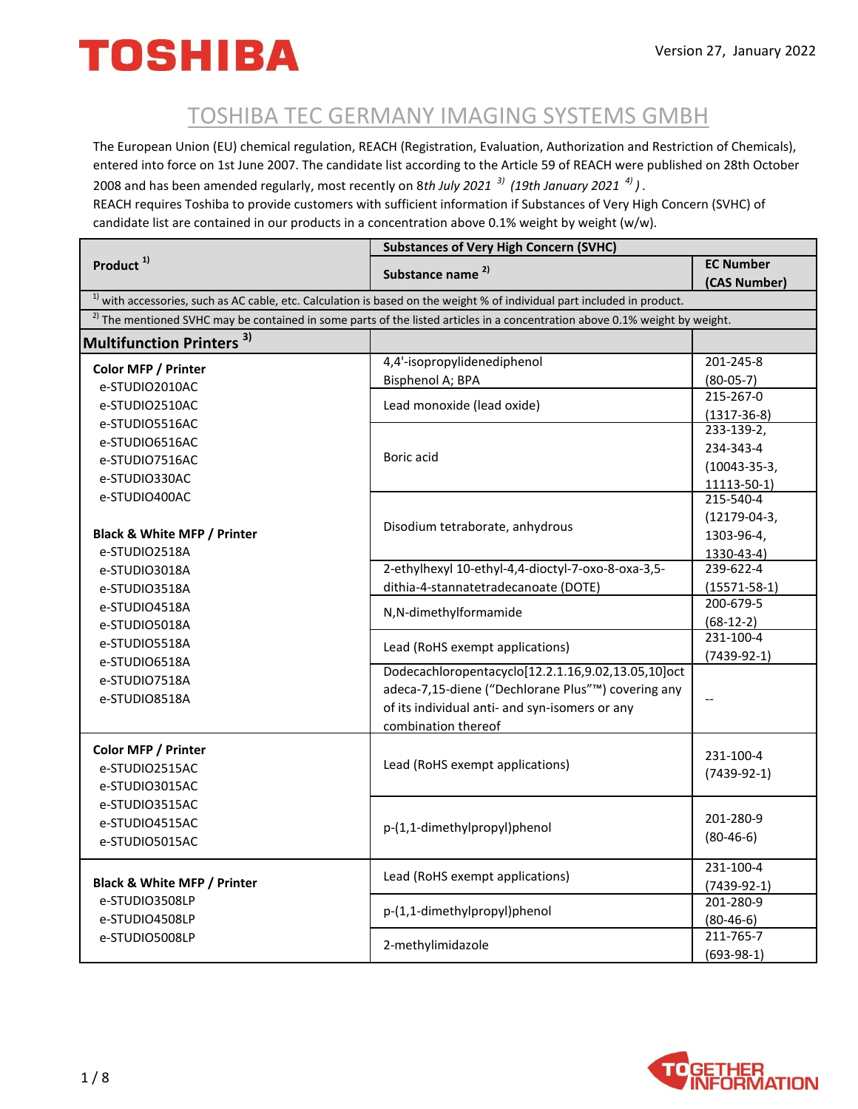#### TOSHIBA TEC GERMANY IMAGING SYSTEMS GMBH

The European Union (EU) chemical regulation, REACH (Registration, Evaluation, Authorization and Restriction of Chemicals), entered into force on 1st June 2007. The candidate list according to the Article 59 of REACH were published on 28th October 2008 and has been amended regularly, most recently on 8*th July 2021 3) (19th January 2021 4) )* .

REACH requires Toshiba to provide customers with sufficient information if Substances of Very High Concern (SVHC) of candidate list are contained in our products in a concentration above 0.1% weight by weight (w/w).

| Product <sup>1)</sup>                                                                                                       | <b>Substances of Very High Concern (SVHC)</b>                                                                                          |                                       |
|-----------------------------------------------------------------------------------------------------------------------------|----------------------------------------------------------------------------------------------------------------------------------------|---------------------------------------|
|                                                                                                                             | Substance name <sup>2)</sup>                                                                                                           | <b>EC Number</b>                      |
|                                                                                                                             |                                                                                                                                        | (CAS Number)                          |
| $1$ ) with accessories, such as AC cable, etc. Calculation is based on the weight % of individual part included in product. |                                                                                                                                        |                                       |
|                                                                                                                             | <sup>2)</sup> The mentioned SVHC may be contained in some parts of the listed articles in a concentration above 0.1% weight by weight. |                                       |
| 3)<br><b>Multifunction Printers</b>                                                                                         |                                                                                                                                        |                                       |
| Color MFP / Printer                                                                                                         | 4,4'-isopropylidenediphenol                                                                                                            | 201-245-8                             |
| e-STUDIO2010AC                                                                                                              | Bisphenol A; BPA                                                                                                                       | $(80-05-7)$                           |
| e-STUDIO2510AC                                                                                                              | Lead monoxide (lead oxide)                                                                                                             | 215-267-0                             |
| e-STUDIO5516AC                                                                                                              |                                                                                                                                        | $(1317 - 36 - 8)$<br>$233 - 139 - 2,$ |
| e-STUDIO6516AC                                                                                                              |                                                                                                                                        |                                       |
| e-STUDIO7516AC                                                                                                              | Boric acid                                                                                                                             | 234-343-4                             |
| e-STUDIO330AC                                                                                                               |                                                                                                                                        | $(10043 - 35 - 3,$                    |
| e-STUDIO400AC                                                                                                               |                                                                                                                                        | 11113-50-1)<br>215-540-4              |
|                                                                                                                             |                                                                                                                                        | $(12179-04-3,$                        |
| Black & White MFP / Printer                                                                                                 | Disodium tetraborate, anhydrous                                                                                                        | 1303-96-4,                            |
| e-STUDIO2518A                                                                                                               |                                                                                                                                        | 1330-43-4)                            |
| e-STUDIO3018A                                                                                                               | 2-ethylhexyl 10-ethyl-4,4-dioctyl-7-oxo-8-oxa-3,5-                                                                                     | 239-622-4                             |
| e-STUDIO3518A                                                                                                               | dithia-4-stannatetradecanoate (DOTE)                                                                                                   | $(15571 - 58 - 1)$                    |
| e-STUDIO4518A                                                                                                               |                                                                                                                                        | 200-679-5                             |
| e-STUDIO5018A                                                                                                               | N,N-dimethylformamide                                                                                                                  | $(68-12-2)$                           |
| e-STUDIO5518A                                                                                                               | Lead (RoHS exempt applications)                                                                                                        | 231-100-4                             |
| e-STUDIO6518A                                                                                                               |                                                                                                                                        | $(7439-92-1)$                         |
| e-STUDIO7518A                                                                                                               | Dodecachloropentacyclo[12.2.1.16,9.02,13.05,10]oct                                                                                     |                                       |
| e-STUDIO8518A                                                                                                               | adeca-7,15-diene ("Dechlorane Plus"™) covering any                                                                                     |                                       |
|                                                                                                                             | of its individual anti- and syn-isomers or any                                                                                         |                                       |
|                                                                                                                             | combination thereof                                                                                                                    |                                       |
| Color MFP / Printer                                                                                                         |                                                                                                                                        | 231-100-4                             |
| e-STUDIO2515AC                                                                                                              | Lead (RoHS exempt applications)                                                                                                        |                                       |
| e-STUDIO3015AC                                                                                                              |                                                                                                                                        | $(7439-92-1)$                         |
| e-STUDIO3515AC                                                                                                              |                                                                                                                                        |                                       |
| e-STUDIO4515AC                                                                                                              | p-(1,1-dimethylpropyl)phenol                                                                                                           | 201-280-9                             |
| e-STUDIO5015AC                                                                                                              |                                                                                                                                        | $(80-46-6)$                           |
|                                                                                                                             |                                                                                                                                        |                                       |
|                                                                                                                             | Lead (RoHS exempt applications)                                                                                                        | 231-100-4                             |
| Black & White MFP / Printer                                                                                                 | p-(1,1-dimethylpropyl)phenol                                                                                                           | $(7439-92-1)$                         |
| e-STUDIO3508LP                                                                                                              |                                                                                                                                        | 201-280-9                             |
| e-STUDIO4508LP                                                                                                              |                                                                                                                                        | $(80-46-6)$<br>211-765-7              |
| e-STUDIO5008LP                                                                                                              | 2-methylimidazole                                                                                                                      | $(693-98-1)$                          |
|                                                                                                                             |                                                                                                                                        |                                       |

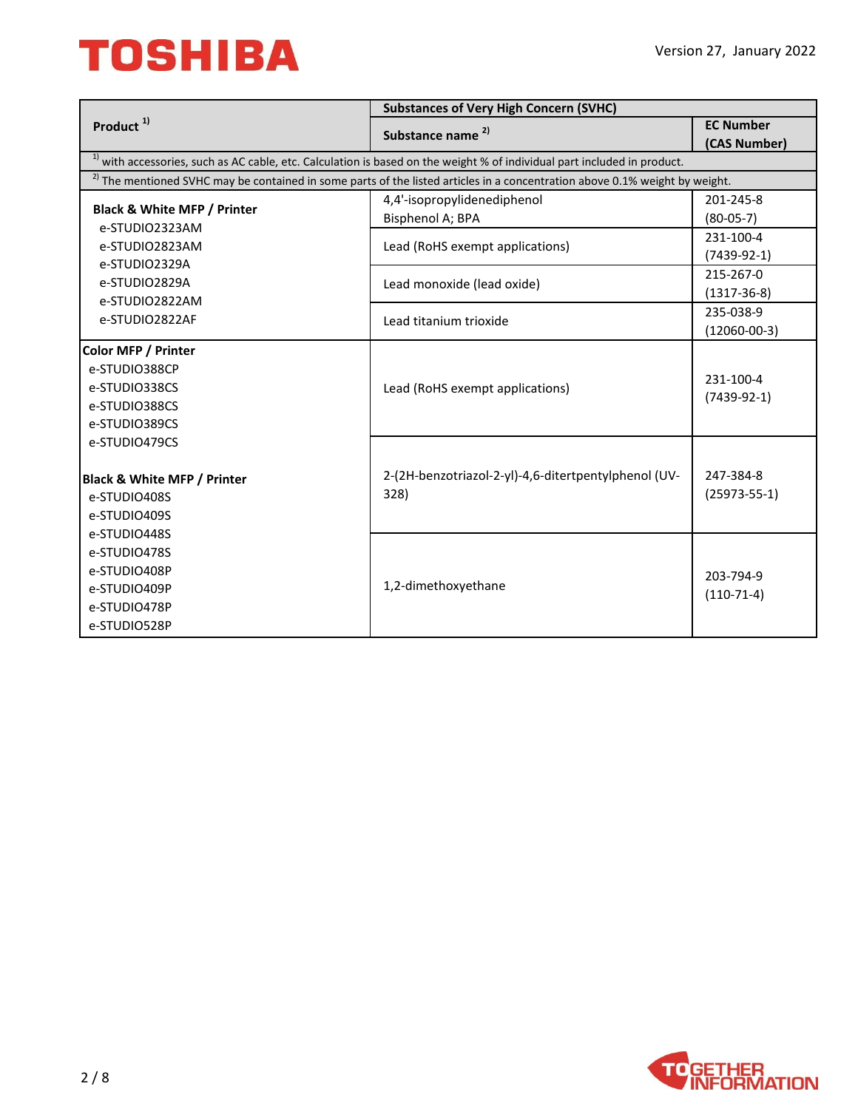|                                        | <b>Substances of Very High Concern (SVHC)</b>                                                                                     |                    |
|----------------------------------------|-----------------------------------------------------------------------------------------------------------------------------------|--------------------|
| Product <sup>1)</sup>                  | Substance name <sup>2)</sup>                                                                                                      | <b>EC Number</b>   |
|                                        |                                                                                                                                   | (CAS Number)       |
|                                        | $1$ ) with accessories, such as AC cable, etc. Calculation is based on the weight % of individual part included in product.       |                    |
|                                        | $^{2}$ ) The mentioned SVHC may be contained in some parts of the listed articles in a concentration above 0.1% weight by weight. |                    |
| <b>Black &amp; White MFP / Printer</b> | 4,4'-isopropylidenediphenol                                                                                                       | 201-245-8          |
| e-STUDIO2323AM                         | Bisphenol A; BPA                                                                                                                  | $(80-05-7)$        |
| e-STUDIO2823AM                         | Lead (RoHS exempt applications)                                                                                                   | 231-100-4          |
| e-STUDIO2329A                          |                                                                                                                                   | $(7439-92-1)$      |
| e-STUDIO2829A                          | Lead monoxide (lead oxide)                                                                                                        | 215-267-0          |
| e-STUDIO2822AM                         |                                                                                                                                   | $(1317 - 36 - 8)$  |
| e-STUDIO2822AF                         | Lead titanium trioxide                                                                                                            | 235-038-9          |
|                                        |                                                                                                                                   | $(12060 - 00 - 3)$ |
| <b>Color MFP / Printer</b>             |                                                                                                                                   |                    |
| e-STUDIO388CP                          |                                                                                                                                   | 231-100-4          |
| e-STUDIO338CS                          | Lead (RoHS exempt applications)                                                                                                   | $(7439-92-1)$      |
| e-STUDIO388CS                          |                                                                                                                                   |                    |
| e-STUDIO389CS                          |                                                                                                                                   |                    |
| e-STUDIO479CS                          |                                                                                                                                   |                    |
|                                        |                                                                                                                                   |                    |
| <b>Black &amp; White MFP / Printer</b> | 2-(2H-benzotriazol-2-yl)-4,6-ditertpentylphenol (UV-                                                                              | 247-384-8          |
| e-STUDIO408S                           | 328)                                                                                                                              | $(25973 - 55 - 1)$ |
| e-STUDIO409S                           |                                                                                                                                   |                    |
| e-STUDIO448S                           |                                                                                                                                   |                    |
| e-STUDIO478S                           |                                                                                                                                   |                    |
| e-STUDIO408P                           |                                                                                                                                   | 203-794-9          |
| e-STUDIO409P                           | 1,2-dimethoxyethane                                                                                                               | $(110-71-4)$       |
| e-STUDIO478P                           |                                                                                                                                   |                    |
| e-STUDIO528P                           |                                                                                                                                   |                    |

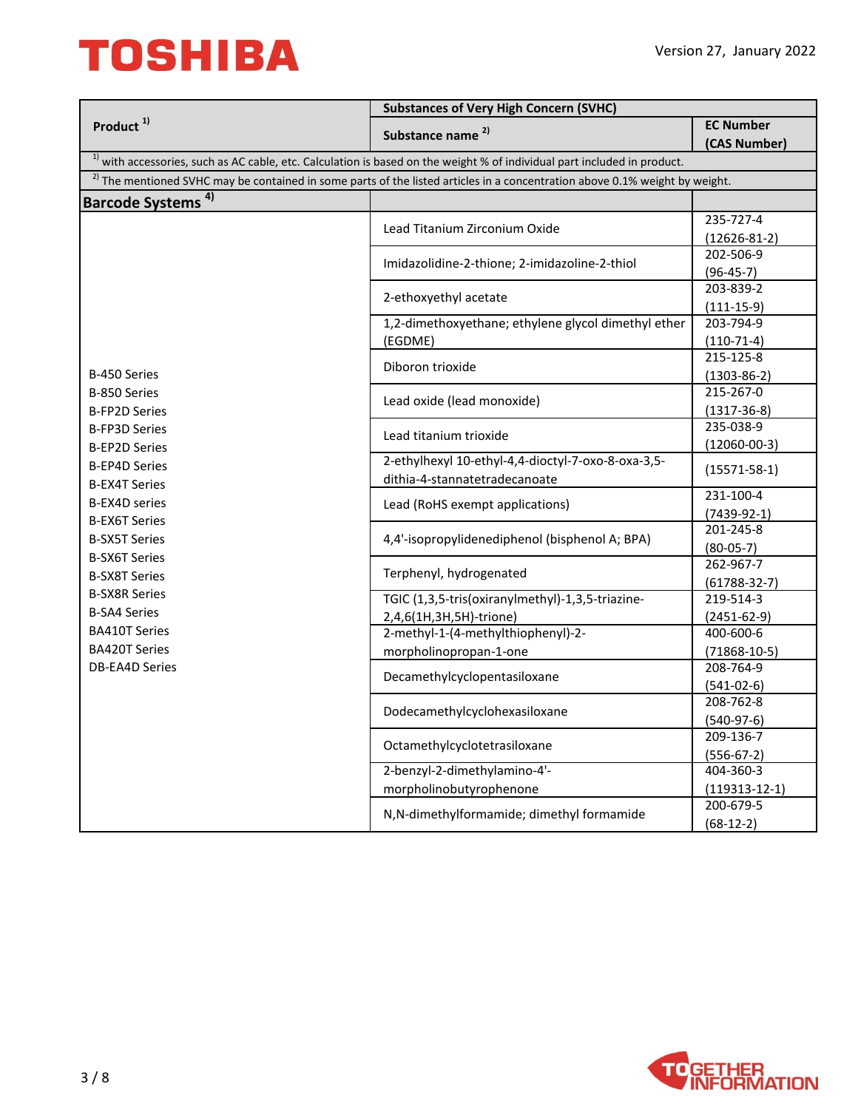|                                              | <b>Substances of Very High Concern (SVHC)</b>                                                                                          |                           |  |
|----------------------------------------------|----------------------------------------------------------------------------------------------------------------------------------------|---------------------------|--|
| Product $1$                                  | Substance name <sup>2)</sup>                                                                                                           | <b>EC Number</b>          |  |
|                                              |                                                                                                                                        | (CAS Number)              |  |
|                                              | $1$ ) with accessories, such as AC cable, etc. Calculation is based on the weight % of individual part included in product.            |                           |  |
|                                              | <sup>2)</sup> The mentioned SVHC may be contained in some parts of the listed articles in a concentration above 0.1% weight by weight. |                           |  |
| Barcode Systems <sup>4)</sup>                |                                                                                                                                        |                           |  |
|                                              |                                                                                                                                        | 235-727-4                 |  |
|                                              | Lead Titanium Zirconium Oxide                                                                                                          | $(12626-81-2)$            |  |
|                                              | Imidazolidine-2-thione; 2-imidazoline-2-thiol                                                                                          | 202-506-9                 |  |
|                                              |                                                                                                                                        | $(96-45-7)$               |  |
|                                              | 2-ethoxyethyl acetate                                                                                                                  | 203-839-2                 |  |
|                                              |                                                                                                                                        | $(111-15-9)$              |  |
|                                              | 1,2-dimethoxyethane; ethylene glycol dimethyl ether                                                                                    | 203-794-9                 |  |
|                                              | (EGDME)                                                                                                                                | $(110-71-4)$              |  |
|                                              | Diboron trioxide                                                                                                                       | 215-125-8                 |  |
| B-450 Series                                 |                                                                                                                                        | $(1303 - 86 - 2)$         |  |
| B-850 Series                                 | Lead oxide (lead monoxide)                                                                                                             | 215-267-0                 |  |
| <b>B-FP2D Series</b>                         |                                                                                                                                        | $(1317 - 36 - 8)$         |  |
| <b>B-FP3D Series</b>                         | Lead titanium trioxide                                                                                                                 | 235-038-9                 |  |
| <b>B-EP2D Series</b>                         |                                                                                                                                        | $(12060 - 00 - 3)$        |  |
| <b>B-EP4D Series</b>                         | 2-ethylhexyl 10-ethyl-4,4-dioctyl-7-oxo-8-oxa-3,5-                                                                                     | $(15571 - 58 - 1)$        |  |
| <b>B-EX4T Series</b>                         | dithia-4-stannatetradecanoate                                                                                                          |                           |  |
| <b>B-EX4D series</b>                         | Lead (RoHS exempt applications)                                                                                                        | 231-100-4                 |  |
| <b>B-EX6T Series</b><br><b>B-SX5T Series</b> | 4,4'-isopropylidenediphenol (bisphenol A; BPA)                                                                                         | $(7439-92-1)$             |  |
|                                              |                                                                                                                                        | 201-245-8                 |  |
| <b>B-SX6T Series</b>                         |                                                                                                                                        | $(80-05-7)$               |  |
| <b>B-SX8T Series</b>                         | Terphenyl, hydrogenated                                                                                                                | 262-967-7                 |  |
| <b>B-SX8R Series</b>                         |                                                                                                                                        | $(61788-32-7)$            |  |
| <b>B-SA4 Series</b>                          | TGIC (1,3,5-tris(oxiranylmethyl)-1,3,5-triazine-                                                                                       | 219-514-3                 |  |
| <b>BA410T Series</b>                         | 2,4,6(1H,3H,5H)-trione)                                                                                                                | $(2451 - 62 - 9)$         |  |
|                                              | 2-methyl-1-(4-methylthiophenyl)-2-                                                                                                     | 400-600-6                 |  |
| <b>BA420T Series</b>                         | morpholinopropan-1-one                                                                                                                 | $(71868 - 10 - 5)$        |  |
| <b>DB-EA4D Series</b>                        | Decamethylcyclopentasiloxane                                                                                                           | 208-764-9                 |  |
|                                              |                                                                                                                                        | $(541-02-6)$<br>208-762-8 |  |
|                                              | Dodecamethylcyclohexasiloxane                                                                                                          |                           |  |
|                                              |                                                                                                                                        | $(540-97-6)$<br>209-136-7 |  |
|                                              | Octamethylcyclotetrasiloxane                                                                                                           |                           |  |
|                                              | 2-benzyl-2-dimethylamino-4'-                                                                                                           | $(556-67-2)$<br>404-360-3 |  |
|                                              |                                                                                                                                        | $(119313 - 12 - 1)$       |  |
|                                              | morpholinobutyrophenone                                                                                                                | 200-679-5                 |  |
|                                              | N,N-dimethylformamide; dimethyl formamide                                                                                              | $(68-12-2)$               |  |
|                                              |                                                                                                                                        |                           |  |

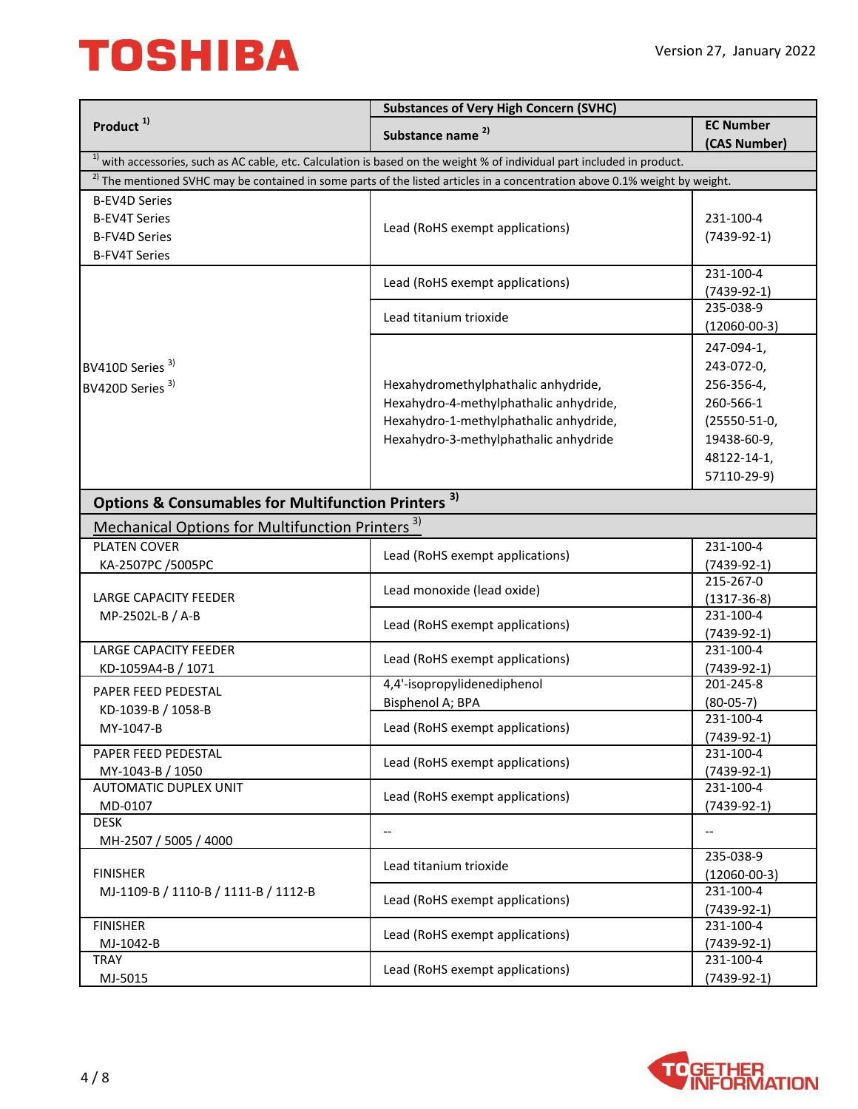|                                                                | <b>Substances of Very High Concern (SVHC)</b>                                                                                       |                                  |
|----------------------------------------------------------------|-------------------------------------------------------------------------------------------------------------------------------------|----------------------------------|
| Product <sup>1)</sup>                                          | Substance name <sup>2)</sup>                                                                                                        | <b>EC Number</b><br>(CAS Number) |
|                                                                | <sup>1)</sup> with accessories, such as AC cable, etc. Calculation is based on the weight % of individual part included in product. |                                  |
|                                                                | $^{2)}$ The mentioned SVHC may be contained in some parts of the listed articles in a concentration above 0.1% weight by weight.    |                                  |
| <b>B-EV4D Series</b>                                           |                                                                                                                                     |                                  |
| <b>B-EV4T Series</b>                                           |                                                                                                                                     | 231-100-4                        |
| <b>B-FV4D Series</b>                                           | Lead (RoHS exempt applications)                                                                                                     | $(7439-92-1)$                    |
| <b>B-FV4T Series</b>                                           |                                                                                                                                     |                                  |
|                                                                |                                                                                                                                     | 231-100-4                        |
|                                                                | Lead (RoHS exempt applications)                                                                                                     | $(7439-92-1)$                    |
|                                                                |                                                                                                                                     | 235-038-9                        |
|                                                                | Lead titanium trioxide                                                                                                              | $(12060 - 00 - 3)$               |
|                                                                |                                                                                                                                     | 247-094-1,                       |
| BV410D Series <sup>3)</sup>                                    |                                                                                                                                     | 243-072-0,                       |
| BV420D Series <sup>3)</sup>                                    | Hexahydromethylphathalic anhydride,                                                                                                 | 256-356-4,                       |
|                                                                | Hexahydro-4-methylphathalic anhydride,                                                                                              | 260-566-1                        |
|                                                                | Hexahydro-1-methylphathalic anhydride,                                                                                              | (25550-51-0,                     |
|                                                                | Hexahydro-3-methylphathalic anhydride                                                                                               | 19438-60-9,                      |
|                                                                |                                                                                                                                     | 48122-14-1,                      |
|                                                                |                                                                                                                                     | 57110-29-9)                      |
|                                                                |                                                                                                                                     |                                  |
| <b>Options &amp; Consumables for Multifunction Printers 3)</b> |                                                                                                                                     |                                  |
| <b>Mechanical Options for Multifunction Printers</b>           | 3)                                                                                                                                  |                                  |
| <b>PLATEN COVER</b>                                            |                                                                                                                                     | 231-100-4                        |
| KA-2507PC /5005PC                                              | Lead (RoHS exempt applications)                                                                                                     | $(7439-92-1)$                    |
|                                                                | Lead monoxide (lead oxide)                                                                                                          | 215-267-0                        |
| LARGE CAPACITY FEEDER                                          |                                                                                                                                     | $(1317 - 36 - 8)$                |
| MP-2502L-B / A-B                                               | Lead (RoHS exempt applications)                                                                                                     | 231-100-4                        |
|                                                                |                                                                                                                                     | $(7439-92-1)$                    |
| <b>LARGE CAPACITY FEEDER</b>                                   | Lead (RoHS exempt applications)                                                                                                     | 231-100-4                        |
| KD-1059A4-B / 1071                                             |                                                                                                                                     | $(7439-92-1)$                    |
| PAPER FEED PEDESTAL                                            | 4,4'-isopropylidenediphenol                                                                                                         | 201-245-8                        |
| KD-1039-B / 1058-B                                             | Bisphenol A; BPA                                                                                                                    | $(80-05-7)$                      |
| MY-1047-B                                                      | Lead (RoHS exempt applications)                                                                                                     | 231-100-4                        |
| PAPER FEED PEDESTAL                                            |                                                                                                                                     | $(7439-92-1)$<br>231-100-4       |
| MY-1043-B / 1050                                               | Lead (RoHS exempt applications)                                                                                                     | $(7439-92-1)$                    |
| <b>AUTOMATIC DUPLEX UNIT</b>                                   |                                                                                                                                     | 231-100-4                        |
| MD-0107                                                        | Lead (RoHS exempt applications)                                                                                                     | (7439-92-1)                      |
| <b>DESK</b>                                                    |                                                                                                                                     |                                  |
| MH-2507 / 5005 / 4000                                          |                                                                                                                                     |                                  |
|                                                                |                                                                                                                                     | 235-038-9                        |
| <b>FINISHER</b>                                                | Lead titanium trioxide                                                                                                              | $(12060 - 00 - 3)$               |
| MJ-1109-B / 1110-B / 1111-B / 1112-B                           | Lead (RoHS exempt applications)                                                                                                     | 231-100-4                        |
|                                                                |                                                                                                                                     | $(7439-92-1)$                    |
| <b>FINISHER</b>                                                | Lead (RoHS exempt applications)                                                                                                     | 231-100-4                        |
| MJ-1042-B                                                      |                                                                                                                                     | $(7439-92-1)$                    |
| TRAY                                                           | Lead (RoHS exempt applications)                                                                                                     | 231-100-4                        |
| MJ-5015                                                        |                                                                                                                                     | $(7439-92-1)$                    |

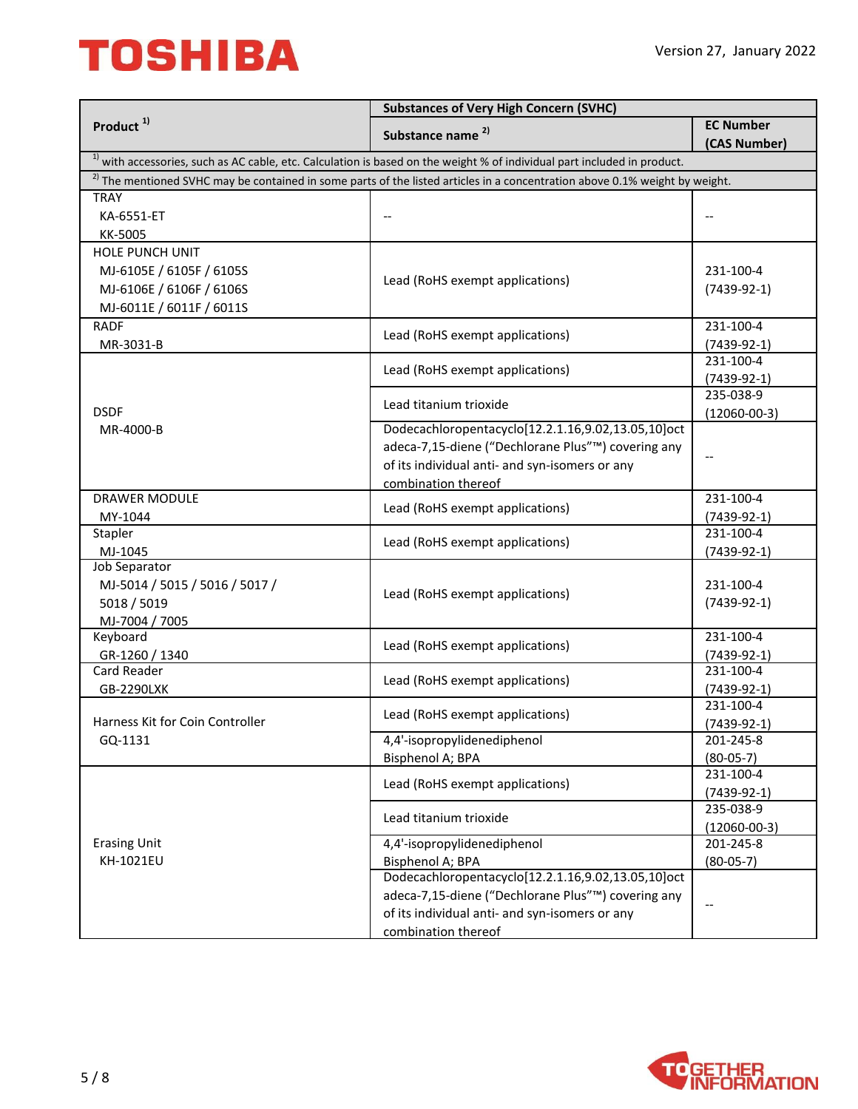|                                  | <b>Substances of Very High Concern (SVHC)</b>                                                                                          |                                  |
|----------------------------------|----------------------------------------------------------------------------------------------------------------------------------------|----------------------------------|
| Product <sup>1)</sup>            | Substance name <sup>2)</sup>                                                                                                           | <b>EC Number</b><br>(CAS Number) |
|                                  | <sup>1)</sup> with accessories, such as AC cable, etc. Calculation is based on the weight % of individual part included in product.    |                                  |
|                                  | <sup>2)</sup> The mentioned SVHC may be contained in some parts of the listed articles in a concentration above 0.1% weight by weight. |                                  |
| <b>TRAY</b>                      |                                                                                                                                        |                                  |
| KA-6551-ET                       |                                                                                                                                        |                                  |
| KK-5005                          |                                                                                                                                        |                                  |
| <b>HOLE PUNCH UNIT</b>           |                                                                                                                                        |                                  |
| MJ-6105E / 6105F / 6105S         |                                                                                                                                        | 231-100-4                        |
| MJ-6106E / 6106F / 6106S         | Lead (RoHS exempt applications)                                                                                                        | $(7439-92-1)$                    |
| MJ-6011E / 6011F / 6011S         |                                                                                                                                        |                                  |
| <b>RADF</b>                      |                                                                                                                                        | 231-100-4                        |
| MR-3031-B                        | Lead (RoHS exempt applications)                                                                                                        | $(7439-92-1)$                    |
|                                  |                                                                                                                                        | 231-100-4                        |
|                                  | Lead (RoHS exempt applications)                                                                                                        | $(7439-92-1)$                    |
|                                  |                                                                                                                                        | 235-038-9                        |
| <b>DSDF</b>                      | Lead titanium trioxide                                                                                                                 | $(12060 - 00 - 3)$               |
| MR-4000-B                        | Dodecachloropentacyclo[12.2.1.16,9.02,13.05,10]oct                                                                                     |                                  |
|                                  | adeca-7,15-diene ("Dechlorane Plus"™) covering any                                                                                     |                                  |
|                                  | of its individual anti- and syn-isomers or any                                                                                         |                                  |
|                                  | combination thereof                                                                                                                    |                                  |
| <b>DRAWER MODULE</b>             |                                                                                                                                        | 231-100-4                        |
| MY-1044                          | Lead (RoHS exempt applications)                                                                                                        | $(7439-92-1)$                    |
| Stapler                          |                                                                                                                                        | 231-100-4                        |
| MJ-1045                          | Lead (RoHS exempt applications)                                                                                                        | $(7439-92-1)$                    |
| Job Separator                    |                                                                                                                                        |                                  |
| MJ-5014 / 5015 / 5016 / 5017 /   |                                                                                                                                        | 231-100-4                        |
| 5018 / 5019                      | Lead (RoHS exempt applications)                                                                                                        | $(7439-92-1)$                    |
| MJ-7004 / 7005                   |                                                                                                                                        |                                  |
| Keyboard                         | Lead (RoHS exempt applications)                                                                                                        | 231-100-4                        |
| GR-1260 / 1340                   |                                                                                                                                        | $(7439-92-1)$                    |
| Card Reader                      | Lead (RoHS exempt applications)                                                                                                        | 231-100-4                        |
| GB-2290LXK                       |                                                                                                                                        | $(7439-92-1)$                    |
|                                  | Lead (RoHS exempt applications)                                                                                                        | 231-100-4                        |
| Harness Kit for Coin Controller  |                                                                                                                                        | $(7439-92-1)$                    |
| GQ-1131                          | 4,4'-isopropylidenediphenol                                                                                                            | 201-245-8                        |
|                                  | Bisphenol A; BPA                                                                                                                       | $(80 - 05 - 7)$                  |
|                                  | Lead (RoHS exempt applications)<br>Lead titanium trioxide                                                                              | 231-100-4                        |
|                                  |                                                                                                                                        | $(7439-92-1)$                    |
|                                  |                                                                                                                                        | 235-038-9                        |
|                                  | 4,4'-isopropylidenediphenol                                                                                                            | $(12060 - 00 - 3)$<br>201-245-8  |
| <b>Erasing Unit</b><br>KH-1021EU | Bisphenol A; BPA                                                                                                                       |                                  |
|                                  | Dodecachloropentacyclo[12.2.1.16,9.02,13.05,10]oct                                                                                     | $(80-05-7)$                      |
|                                  | adeca-7,15-diene ("Dechlorane Plus"™) covering any                                                                                     |                                  |
|                                  | of its individual anti- and syn-isomers or any                                                                                         |                                  |
|                                  | combination thereof                                                                                                                    |                                  |
|                                  |                                                                                                                                        |                                  |

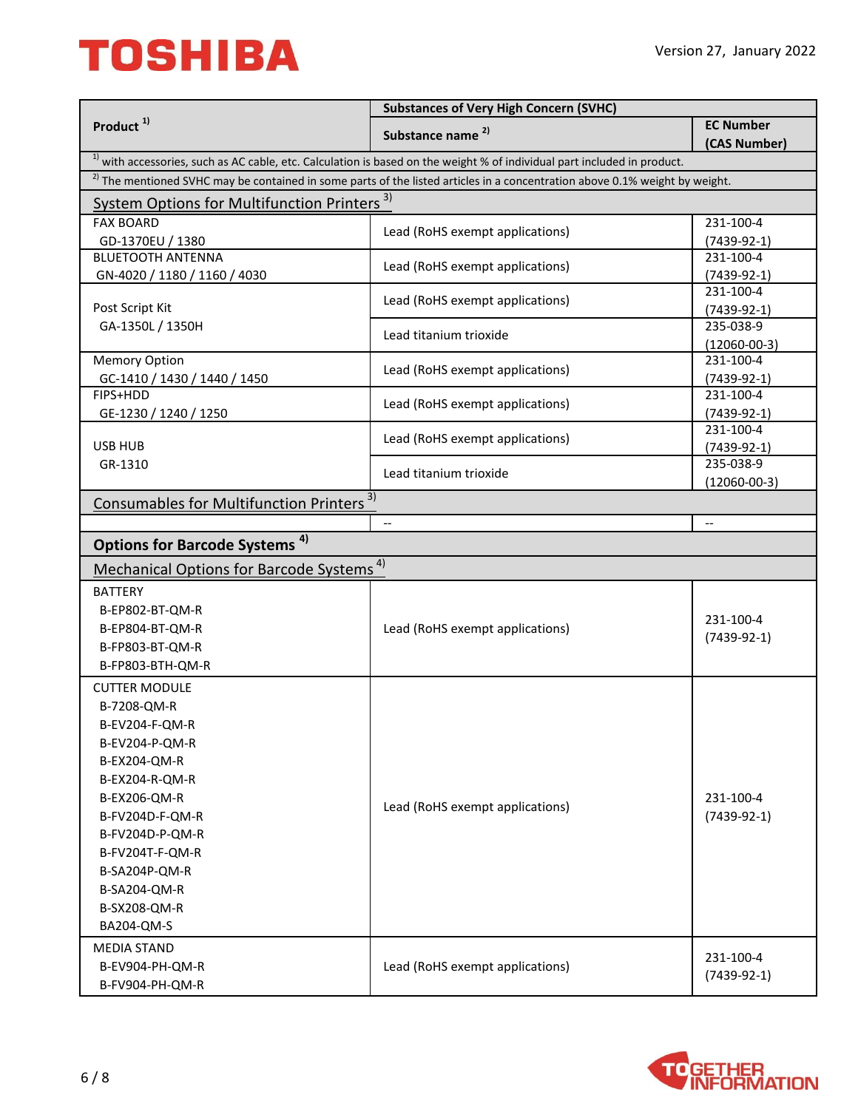| <b>EC Number</b><br>Substance name <sup>2)</sup><br>(CAS Number)<br>$1$ ) with accessories, such as AC cable, etc. Calculation is based on the weight % of individual part included in product.<br><sup>2)</sup> The mentioned SVHC may be contained in some parts of the listed articles in a concentration above 0.1% weight by weight.<br>System Options for Multifunction Printers <sup>3)</sup><br><b>FAX BOARD</b><br>231-100-4<br>Lead (RoHS exempt applications)<br>GD-1370EU / 1380<br>$(7439-92-1)$<br><b>BLUETOOTH ANTENNA</b><br>231-100-4<br>Lead (RoHS exempt applications)<br>GN-4020 / 1180 / 1160 / 4030<br>$(7439-92-1)$<br>231-100-4<br>Lead (RoHS exempt applications)<br>Post Script Kit<br>$(7439-92-1)$<br>235-038-9<br>GA-1350L / 1350H<br>Lead titanium trioxide<br>$(12060 - 00 - 3)$<br>Memory Option<br>$\overline{231}$ -100-4<br>Lead (RoHS exempt applications)<br>GC-1410 / 1430 / 1440 / 1450<br>$(7439-92-1)$<br>FIPS+HDD<br>231-100-4<br>Lead (RoHS exempt applications)<br>$(7439-92-1)$<br>GE-1230 / 1240 / 1250<br>231-100-4<br>Lead (RoHS exempt applications)<br>USB HUB<br>$(7439-92-1)$<br>235-038-9<br>GR-1310<br>Lead titanium trioxide<br>$(12060 - 00 - 3)$<br>Consumables for Multifunction Printers <sup>3)</sup><br>$-$<br>$\overline{\phantom{a}}$<br><b>Options for Barcode Systems 4)</b><br>Mechanical Options for Barcode Systems <sup>4)</sup><br><b>BATTERY</b><br>B-EP802-BT-QM-R<br>231-100-4<br>Lead (RoHS exempt applications)<br>B-EP804-BT-QM-R<br>$(7439-92-1)$<br>B-FP803-BT-QM-R<br>B-FP803-BTH-QM-R<br><b>CUTTER MODULE</b><br>B-7208-QM-R<br>B-EV204-F-QM-R<br>B-EV204-P-QM-R<br>B-EX204-QM-R<br>B-EX204-R-QM-R<br>231-100-4<br>B-EX206-QM-R<br>Lead (RoHS exempt applications)<br>B-FV204D-F-QM-R<br>$(7439-92-1)$<br>B-FV204D-P-QM-R<br>B-FV204T-F-QM-R<br>B-SA204P-QM-R<br>B-SA204-QM-R<br>B-SX208-QM-R<br>BA204-QM-S<br><b>MEDIA STAND</b><br>231-100-4<br>Lead (RoHS exempt applications)<br>B-EV904-PH-QM-R<br>$(7439-92-1)$<br>B-FV904-PH-QM-R |                       | <b>Substances of Very High Concern (SVHC)</b> |  |
|--------------------------------------------------------------------------------------------------------------------------------------------------------------------------------------------------------------------------------------------------------------------------------------------------------------------------------------------------------------------------------------------------------------------------------------------------------------------------------------------------------------------------------------------------------------------------------------------------------------------------------------------------------------------------------------------------------------------------------------------------------------------------------------------------------------------------------------------------------------------------------------------------------------------------------------------------------------------------------------------------------------------------------------------------------------------------------------------------------------------------------------------------------------------------------------------------------------------------------------------------------------------------------------------------------------------------------------------------------------------------------------------------------------------------------------------------------------------------------------------------------------------------------------------------------------------------------------------------------------------------------------------------------------------------------------------------------------------------------------------------------------------------------------------------------------------------------------------------------------------------------------------------------------------------------------------------------------------------------------------------------------------------|-----------------------|-----------------------------------------------|--|
|                                                                                                                                                                                                                                                                                                                                                                                                                                                                                                                                                                                                                                                                                                                                                                                                                                                                                                                                                                                                                                                                                                                                                                                                                                                                                                                                                                                                                                                                                                                                                                                                                                                                                                                                                                                                                                                                                                                                                                                                                          | Product <sup>1)</sup> |                                               |  |
|                                                                                                                                                                                                                                                                                                                                                                                                                                                                                                                                                                                                                                                                                                                                                                                                                                                                                                                                                                                                                                                                                                                                                                                                                                                                                                                                                                                                                                                                                                                                                                                                                                                                                                                                                                                                                                                                                                                                                                                                                          |                       |                                               |  |
|                                                                                                                                                                                                                                                                                                                                                                                                                                                                                                                                                                                                                                                                                                                                                                                                                                                                                                                                                                                                                                                                                                                                                                                                                                                                                                                                                                                                                                                                                                                                                                                                                                                                                                                                                                                                                                                                                                                                                                                                                          |                       |                                               |  |
|                                                                                                                                                                                                                                                                                                                                                                                                                                                                                                                                                                                                                                                                                                                                                                                                                                                                                                                                                                                                                                                                                                                                                                                                                                                                                                                                                                                                                                                                                                                                                                                                                                                                                                                                                                                                                                                                                                                                                                                                                          |                       |                                               |  |
|                                                                                                                                                                                                                                                                                                                                                                                                                                                                                                                                                                                                                                                                                                                                                                                                                                                                                                                                                                                                                                                                                                                                                                                                                                                                                                                                                                                                                                                                                                                                                                                                                                                                                                                                                                                                                                                                                                                                                                                                                          |                       |                                               |  |
|                                                                                                                                                                                                                                                                                                                                                                                                                                                                                                                                                                                                                                                                                                                                                                                                                                                                                                                                                                                                                                                                                                                                                                                                                                                                                                                                                                                                                                                                                                                                                                                                                                                                                                                                                                                                                                                                                                                                                                                                                          |                       |                                               |  |
|                                                                                                                                                                                                                                                                                                                                                                                                                                                                                                                                                                                                                                                                                                                                                                                                                                                                                                                                                                                                                                                                                                                                                                                                                                                                                                                                                                                                                                                                                                                                                                                                                                                                                                                                                                                                                                                                                                                                                                                                                          |                       |                                               |  |
|                                                                                                                                                                                                                                                                                                                                                                                                                                                                                                                                                                                                                                                                                                                                                                                                                                                                                                                                                                                                                                                                                                                                                                                                                                                                                                                                                                                                                                                                                                                                                                                                                                                                                                                                                                                                                                                                                                                                                                                                                          |                       |                                               |  |
|                                                                                                                                                                                                                                                                                                                                                                                                                                                                                                                                                                                                                                                                                                                                                                                                                                                                                                                                                                                                                                                                                                                                                                                                                                                                                                                                                                                                                                                                                                                                                                                                                                                                                                                                                                                                                                                                                                                                                                                                                          |                       |                                               |  |
|                                                                                                                                                                                                                                                                                                                                                                                                                                                                                                                                                                                                                                                                                                                                                                                                                                                                                                                                                                                                                                                                                                                                                                                                                                                                                                                                                                                                                                                                                                                                                                                                                                                                                                                                                                                                                                                                                                                                                                                                                          |                       |                                               |  |
|                                                                                                                                                                                                                                                                                                                                                                                                                                                                                                                                                                                                                                                                                                                                                                                                                                                                                                                                                                                                                                                                                                                                                                                                                                                                                                                                                                                                                                                                                                                                                                                                                                                                                                                                                                                                                                                                                                                                                                                                                          |                       |                                               |  |
|                                                                                                                                                                                                                                                                                                                                                                                                                                                                                                                                                                                                                                                                                                                                                                                                                                                                                                                                                                                                                                                                                                                                                                                                                                                                                                                                                                                                                                                                                                                                                                                                                                                                                                                                                                                                                                                                                                                                                                                                                          |                       |                                               |  |
|                                                                                                                                                                                                                                                                                                                                                                                                                                                                                                                                                                                                                                                                                                                                                                                                                                                                                                                                                                                                                                                                                                                                                                                                                                                                                                                                                                                                                                                                                                                                                                                                                                                                                                                                                                                                                                                                                                                                                                                                                          |                       |                                               |  |
|                                                                                                                                                                                                                                                                                                                                                                                                                                                                                                                                                                                                                                                                                                                                                                                                                                                                                                                                                                                                                                                                                                                                                                                                                                                                                                                                                                                                                                                                                                                                                                                                                                                                                                                                                                                                                                                                                                                                                                                                                          |                       |                                               |  |
|                                                                                                                                                                                                                                                                                                                                                                                                                                                                                                                                                                                                                                                                                                                                                                                                                                                                                                                                                                                                                                                                                                                                                                                                                                                                                                                                                                                                                                                                                                                                                                                                                                                                                                                                                                                                                                                                                                                                                                                                                          |                       |                                               |  |
|                                                                                                                                                                                                                                                                                                                                                                                                                                                                                                                                                                                                                                                                                                                                                                                                                                                                                                                                                                                                                                                                                                                                                                                                                                                                                                                                                                                                                                                                                                                                                                                                                                                                                                                                                                                                                                                                                                                                                                                                                          |                       |                                               |  |
|                                                                                                                                                                                                                                                                                                                                                                                                                                                                                                                                                                                                                                                                                                                                                                                                                                                                                                                                                                                                                                                                                                                                                                                                                                                                                                                                                                                                                                                                                                                                                                                                                                                                                                                                                                                                                                                                                                                                                                                                                          |                       |                                               |  |
|                                                                                                                                                                                                                                                                                                                                                                                                                                                                                                                                                                                                                                                                                                                                                                                                                                                                                                                                                                                                                                                                                                                                                                                                                                                                                                                                                                                                                                                                                                                                                                                                                                                                                                                                                                                                                                                                                                                                                                                                                          |                       |                                               |  |
|                                                                                                                                                                                                                                                                                                                                                                                                                                                                                                                                                                                                                                                                                                                                                                                                                                                                                                                                                                                                                                                                                                                                                                                                                                                                                                                                                                                                                                                                                                                                                                                                                                                                                                                                                                                                                                                                                                                                                                                                                          |                       |                                               |  |
|                                                                                                                                                                                                                                                                                                                                                                                                                                                                                                                                                                                                                                                                                                                                                                                                                                                                                                                                                                                                                                                                                                                                                                                                                                                                                                                                                                                                                                                                                                                                                                                                                                                                                                                                                                                                                                                                                                                                                                                                                          |                       |                                               |  |
|                                                                                                                                                                                                                                                                                                                                                                                                                                                                                                                                                                                                                                                                                                                                                                                                                                                                                                                                                                                                                                                                                                                                                                                                                                                                                                                                                                                                                                                                                                                                                                                                                                                                                                                                                                                                                                                                                                                                                                                                                          |                       |                                               |  |
|                                                                                                                                                                                                                                                                                                                                                                                                                                                                                                                                                                                                                                                                                                                                                                                                                                                                                                                                                                                                                                                                                                                                                                                                                                                                                                                                                                                                                                                                                                                                                                                                                                                                                                                                                                                                                                                                                                                                                                                                                          |                       |                                               |  |
|                                                                                                                                                                                                                                                                                                                                                                                                                                                                                                                                                                                                                                                                                                                                                                                                                                                                                                                                                                                                                                                                                                                                                                                                                                                                                                                                                                                                                                                                                                                                                                                                                                                                                                                                                                                                                                                                                                                                                                                                                          |                       |                                               |  |
|                                                                                                                                                                                                                                                                                                                                                                                                                                                                                                                                                                                                                                                                                                                                                                                                                                                                                                                                                                                                                                                                                                                                                                                                                                                                                                                                                                                                                                                                                                                                                                                                                                                                                                                                                                                                                                                                                                                                                                                                                          |                       |                                               |  |
|                                                                                                                                                                                                                                                                                                                                                                                                                                                                                                                                                                                                                                                                                                                                                                                                                                                                                                                                                                                                                                                                                                                                                                                                                                                                                                                                                                                                                                                                                                                                                                                                                                                                                                                                                                                                                                                                                                                                                                                                                          |                       |                                               |  |
|                                                                                                                                                                                                                                                                                                                                                                                                                                                                                                                                                                                                                                                                                                                                                                                                                                                                                                                                                                                                                                                                                                                                                                                                                                                                                                                                                                                                                                                                                                                                                                                                                                                                                                                                                                                                                                                                                                                                                                                                                          |                       |                                               |  |
|                                                                                                                                                                                                                                                                                                                                                                                                                                                                                                                                                                                                                                                                                                                                                                                                                                                                                                                                                                                                                                                                                                                                                                                                                                                                                                                                                                                                                                                                                                                                                                                                                                                                                                                                                                                                                                                                                                                                                                                                                          |                       |                                               |  |
|                                                                                                                                                                                                                                                                                                                                                                                                                                                                                                                                                                                                                                                                                                                                                                                                                                                                                                                                                                                                                                                                                                                                                                                                                                                                                                                                                                                                                                                                                                                                                                                                                                                                                                                                                                                                                                                                                                                                                                                                                          |                       |                                               |  |
|                                                                                                                                                                                                                                                                                                                                                                                                                                                                                                                                                                                                                                                                                                                                                                                                                                                                                                                                                                                                                                                                                                                                                                                                                                                                                                                                                                                                                                                                                                                                                                                                                                                                                                                                                                                                                                                                                                                                                                                                                          |                       |                                               |  |
|                                                                                                                                                                                                                                                                                                                                                                                                                                                                                                                                                                                                                                                                                                                                                                                                                                                                                                                                                                                                                                                                                                                                                                                                                                                                                                                                                                                                                                                                                                                                                                                                                                                                                                                                                                                                                                                                                                                                                                                                                          |                       |                                               |  |
|                                                                                                                                                                                                                                                                                                                                                                                                                                                                                                                                                                                                                                                                                                                                                                                                                                                                                                                                                                                                                                                                                                                                                                                                                                                                                                                                                                                                                                                                                                                                                                                                                                                                                                                                                                                                                                                                                                                                                                                                                          |                       |                                               |  |
|                                                                                                                                                                                                                                                                                                                                                                                                                                                                                                                                                                                                                                                                                                                                                                                                                                                                                                                                                                                                                                                                                                                                                                                                                                                                                                                                                                                                                                                                                                                                                                                                                                                                                                                                                                                                                                                                                                                                                                                                                          |                       |                                               |  |
|                                                                                                                                                                                                                                                                                                                                                                                                                                                                                                                                                                                                                                                                                                                                                                                                                                                                                                                                                                                                                                                                                                                                                                                                                                                                                                                                                                                                                                                                                                                                                                                                                                                                                                                                                                                                                                                                                                                                                                                                                          |                       |                                               |  |
|                                                                                                                                                                                                                                                                                                                                                                                                                                                                                                                                                                                                                                                                                                                                                                                                                                                                                                                                                                                                                                                                                                                                                                                                                                                                                                                                                                                                                                                                                                                                                                                                                                                                                                                                                                                                                                                                                                                                                                                                                          |                       |                                               |  |
|                                                                                                                                                                                                                                                                                                                                                                                                                                                                                                                                                                                                                                                                                                                                                                                                                                                                                                                                                                                                                                                                                                                                                                                                                                                                                                                                                                                                                                                                                                                                                                                                                                                                                                                                                                                                                                                                                                                                                                                                                          |                       |                                               |  |
|                                                                                                                                                                                                                                                                                                                                                                                                                                                                                                                                                                                                                                                                                                                                                                                                                                                                                                                                                                                                                                                                                                                                                                                                                                                                                                                                                                                                                                                                                                                                                                                                                                                                                                                                                                                                                                                                                                                                                                                                                          |                       |                                               |  |
|                                                                                                                                                                                                                                                                                                                                                                                                                                                                                                                                                                                                                                                                                                                                                                                                                                                                                                                                                                                                                                                                                                                                                                                                                                                                                                                                                                                                                                                                                                                                                                                                                                                                                                                                                                                                                                                                                                                                                                                                                          |                       |                                               |  |
|                                                                                                                                                                                                                                                                                                                                                                                                                                                                                                                                                                                                                                                                                                                                                                                                                                                                                                                                                                                                                                                                                                                                                                                                                                                                                                                                                                                                                                                                                                                                                                                                                                                                                                                                                                                                                                                                                                                                                                                                                          |                       |                                               |  |
|                                                                                                                                                                                                                                                                                                                                                                                                                                                                                                                                                                                                                                                                                                                                                                                                                                                                                                                                                                                                                                                                                                                                                                                                                                                                                                                                                                                                                                                                                                                                                                                                                                                                                                                                                                                                                                                                                                                                                                                                                          |                       |                                               |  |
|                                                                                                                                                                                                                                                                                                                                                                                                                                                                                                                                                                                                                                                                                                                                                                                                                                                                                                                                                                                                                                                                                                                                                                                                                                                                                                                                                                                                                                                                                                                                                                                                                                                                                                                                                                                                                                                                                                                                                                                                                          |                       |                                               |  |
|                                                                                                                                                                                                                                                                                                                                                                                                                                                                                                                                                                                                                                                                                                                                                                                                                                                                                                                                                                                                                                                                                                                                                                                                                                                                                                                                                                                                                                                                                                                                                                                                                                                                                                                                                                                                                                                                                                                                                                                                                          |                       |                                               |  |
|                                                                                                                                                                                                                                                                                                                                                                                                                                                                                                                                                                                                                                                                                                                                                                                                                                                                                                                                                                                                                                                                                                                                                                                                                                                                                                                                                                                                                                                                                                                                                                                                                                                                                                                                                                                                                                                                                                                                                                                                                          |                       |                                               |  |
|                                                                                                                                                                                                                                                                                                                                                                                                                                                                                                                                                                                                                                                                                                                                                                                                                                                                                                                                                                                                                                                                                                                                                                                                                                                                                                                                                                                                                                                                                                                                                                                                                                                                                                                                                                                                                                                                                                                                                                                                                          |                       |                                               |  |
|                                                                                                                                                                                                                                                                                                                                                                                                                                                                                                                                                                                                                                                                                                                                                                                                                                                                                                                                                                                                                                                                                                                                                                                                                                                                                                                                                                                                                                                                                                                                                                                                                                                                                                                                                                                                                                                                                                                                                                                                                          |                       |                                               |  |
|                                                                                                                                                                                                                                                                                                                                                                                                                                                                                                                                                                                                                                                                                                                                                                                                                                                                                                                                                                                                                                                                                                                                                                                                                                                                                                                                                                                                                                                                                                                                                                                                                                                                                                                                                                                                                                                                                                                                                                                                                          |                       |                                               |  |

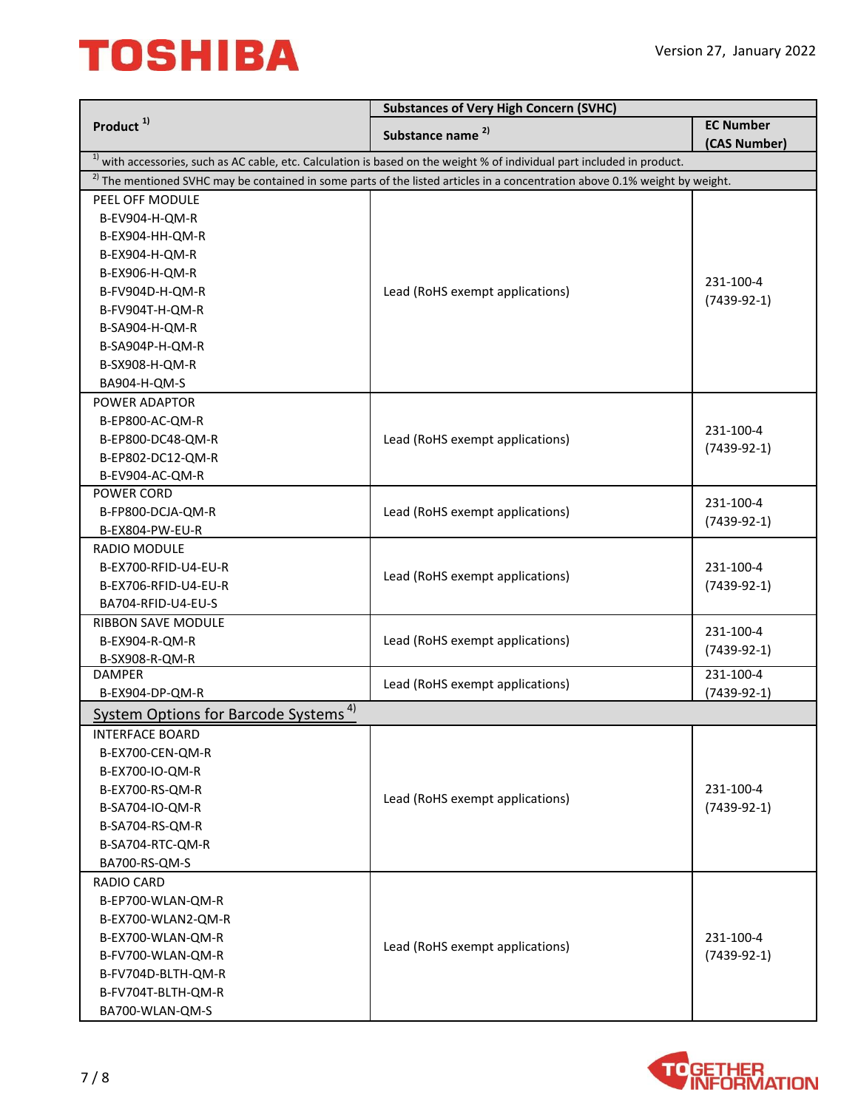| <b>EC Number</b><br>Substance name <sup>2)</sup><br>(CAS Number)<br><sup>1)</sup> with accessories, such as AC cable, etc. Calculation is based on the weight % of individual part included in product.<br>$2)$ The mentioned SVHC may be contained in some parts of the listed articles in a concentration above 0.1% weight by weight.<br>PEEL OFF MODULE<br>B-EV904-H-QM-R<br>B-EX904-HH-QM-R<br>B-EX904-H-QM-R<br>B-EX906-H-QM-R<br>231-100-4<br>B-FV904D-H-QM-R<br>Lead (RoHS exempt applications)<br>$(7439-92-1)$<br>B-FV904T-H-QM-R<br>B-SA904-H-QM-R<br>B-SA904P-H-QM-R<br>B-SX908-H-QM-R<br>BA904-H-QM-S<br>POWER ADAPTOR<br>B-EP800-AC-QM-R<br>231-100-4<br>Lead (RoHS exempt applications)<br>B-EP800-DC48-QM-R<br>$(7439-92-1)$<br>B-EP802-DC12-QM-R<br>B-EV904-AC-QM-R<br>POWER CORD<br>231-100-4<br>Lead (RoHS exempt applications)<br>B-FP800-DCJA-QM-R<br>$(7439-92-1)$<br>B-EX804-PW-EU-R<br>RADIO MODULE<br>B-EX700-RFID-U4-EU-R<br>231-100-4<br>Lead (RoHS exempt applications)<br>B-EX706-RFID-U4-EU-R<br>$(7439-92-1)$<br>BA704-RFID-U4-EU-S<br><b>RIBBON SAVE MODULE</b><br>231-100-4<br>Lead (RoHS exempt applications)<br>B-EX904-R-QM-R<br>$(7439-92-1)$<br>B-SX908-R-QM-R<br><b>DAMPER</b><br>231-100-4<br>Lead (RoHS exempt applications)<br>$(7439-92-1)$<br>B-EX904-DP-QM-R<br>System Options for Barcode Systems <sup>4)</sup><br><b>INTERFACE BOARD</b><br>B-EX700-CEN-QM-R<br>B-EX700-IO-QM-R<br>231-100-4<br>B-EX700-RS-QM-R<br>Lead (RoHS exempt applications)<br>$(7439-92-1)$<br>B-SA704-IO-QM-R<br>B-SA704-RS-QM-R<br>B-SA704-RTC-QM-R<br>BA700-RS-QM-S<br><b>RADIO CARD</b><br>B-EP700-WLAN-QM-R<br>B-EX700-WLAN2-QM-R<br>231-100-4<br>B-EX700-WLAN-QM-R<br>Lead (RoHS exempt applications)<br>B-FV700-WLAN-QM-R<br>$(7439-92-1)$<br>B-FV704D-BLTH-QM-R<br>B-FV704T-BLTH-QM-R |                       | <b>Substances of Very High Concern (SVHC)</b> |  |
|----------------------------------------------------------------------------------------------------------------------------------------------------------------------------------------------------------------------------------------------------------------------------------------------------------------------------------------------------------------------------------------------------------------------------------------------------------------------------------------------------------------------------------------------------------------------------------------------------------------------------------------------------------------------------------------------------------------------------------------------------------------------------------------------------------------------------------------------------------------------------------------------------------------------------------------------------------------------------------------------------------------------------------------------------------------------------------------------------------------------------------------------------------------------------------------------------------------------------------------------------------------------------------------------------------------------------------------------------------------------------------------------------------------------------------------------------------------------------------------------------------------------------------------------------------------------------------------------------------------------------------------------------------------------------------------------------------------------------------------------------------------------------------------------------------------------|-----------------------|-----------------------------------------------|--|
|                                                                                                                                                                                                                                                                                                                                                                                                                                                                                                                                                                                                                                                                                                                                                                                                                                                                                                                                                                                                                                                                                                                                                                                                                                                                                                                                                                                                                                                                                                                                                                                                                                                                                                                                                                                                                      | Product <sup>1)</sup> |                                               |  |
|                                                                                                                                                                                                                                                                                                                                                                                                                                                                                                                                                                                                                                                                                                                                                                                                                                                                                                                                                                                                                                                                                                                                                                                                                                                                                                                                                                                                                                                                                                                                                                                                                                                                                                                                                                                                                      |                       |                                               |  |
|                                                                                                                                                                                                                                                                                                                                                                                                                                                                                                                                                                                                                                                                                                                                                                                                                                                                                                                                                                                                                                                                                                                                                                                                                                                                                                                                                                                                                                                                                                                                                                                                                                                                                                                                                                                                                      |                       |                                               |  |
|                                                                                                                                                                                                                                                                                                                                                                                                                                                                                                                                                                                                                                                                                                                                                                                                                                                                                                                                                                                                                                                                                                                                                                                                                                                                                                                                                                                                                                                                                                                                                                                                                                                                                                                                                                                                                      |                       |                                               |  |
|                                                                                                                                                                                                                                                                                                                                                                                                                                                                                                                                                                                                                                                                                                                                                                                                                                                                                                                                                                                                                                                                                                                                                                                                                                                                                                                                                                                                                                                                                                                                                                                                                                                                                                                                                                                                                      |                       |                                               |  |
|                                                                                                                                                                                                                                                                                                                                                                                                                                                                                                                                                                                                                                                                                                                                                                                                                                                                                                                                                                                                                                                                                                                                                                                                                                                                                                                                                                                                                                                                                                                                                                                                                                                                                                                                                                                                                      |                       |                                               |  |
|                                                                                                                                                                                                                                                                                                                                                                                                                                                                                                                                                                                                                                                                                                                                                                                                                                                                                                                                                                                                                                                                                                                                                                                                                                                                                                                                                                                                                                                                                                                                                                                                                                                                                                                                                                                                                      |                       |                                               |  |
|                                                                                                                                                                                                                                                                                                                                                                                                                                                                                                                                                                                                                                                                                                                                                                                                                                                                                                                                                                                                                                                                                                                                                                                                                                                                                                                                                                                                                                                                                                                                                                                                                                                                                                                                                                                                                      |                       |                                               |  |
|                                                                                                                                                                                                                                                                                                                                                                                                                                                                                                                                                                                                                                                                                                                                                                                                                                                                                                                                                                                                                                                                                                                                                                                                                                                                                                                                                                                                                                                                                                                                                                                                                                                                                                                                                                                                                      |                       |                                               |  |
|                                                                                                                                                                                                                                                                                                                                                                                                                                                                                                                                                                                                                                                                                                                                                                                                                                                                                                                                                                                                                                                                                                                                                                                                                                                                                                                                                                                                                                                                                                                                                                                                                                                                                                                                                                                                                      |                       |                                               |  |
|                                                                                                                                                                                                                                                                                                                                                                                                                                                                                                                                                                                                                                                                                                                                                                                                                                                                                                                                                                                                                                                                                                                                                                                                                                                                                                                                                                                                                                                                                                                                                                                                                                                                                                                                                                                                                      |                       |                                               |  |
|                                                                                                                                                                                                                                                                                                                                                                                                                                                                                                                                                                                                                                                                                                                                                                                                                                                                                                                                                                                                                                                                                                                                                                                                                                                                                                                                                                                                                                                                                                                                                                                                                                                                                                                                                                                                                      |                       |                                               |  |
|                                                                                                                                                                                                                                                                                                                                                                                                                                                                                                                                                                                                                                                                                                                                                                                                                                                                                                                                                                                                                                                                                                                                                                                                                                                                                                                                                                                                                                                                                                                                                                                                                                                                                                                                                                                                                      |                       |                                               |  |
|                                                                                                                                                                                                                                                                                                                                                                                                                                                                                                                                                                                                                                                                                                                                                                                                                                                                                                                                                                                                                                                                                                                                                                                                                                                                                                                                                                                                                                                                                                                                                                                                                                                                                                                                                                                                                      |                       |                                               |  |
|                                                                                                                                                                                                                                                                                                                                                                                                                                                                                                                                                                                                                                                                                                                                                                                                                                                                                                                                                                                                                                                                                                                                                                                                                                                                                                                                                                                                                                                                                                                                                                                                                                                                                                                                                                                                                      |                       |                                               |  |
|                                                                                                                                                                                                                                                                                                                                                                                                                                                                                                                                                                                                                                                                                                                                                                                                                                                                                                                                                                                                                                                                                                                                                                                                                                                                                                                                                                                                                                                                                                                                                                                                                                                                                                                                                                                                                      |                       |                                               |  |
|                                                                                                                                                                                                                                                                                                                                                                                                                                                                                                                                                                                                                                                                                                                                                                                                                                                                                                                                                                                                                                                                                                                                                                                                                                                                                                                                                                                                                                                                                                                                                                                                                                                                                                                                                                                                                      |                       |                                               |  |
|                                                                                                                                                                                                                                                                                                                                                                                                                                                                                                                                                                                                                                                                                                                                                                                                                                                                                                                                                                                                                                                                                                                                                                                                                                                                                                                                                                                                                                                                                                                                                                                                                                                                                                                                                                                                                      |                       |                                               |  |
|                                                                                                                                                                                                                                                                                                                                                                                                                                                                                                                                                                                                                                                                                                                                                                                                                                                                                                                                                                                                                                                                                                                                                                                                                                                                                                                                                                                                                                                                                                                                                                                                                                                                                                                                                                                                                      |                       |                                               |  |
|                                                                                                                                                                                                                                                                                                                                                                                                                                                                                                                                                                                                                                                                                                                                                                                                                                                                                                                                                                                                                                                                                                                                                                                                                                                                                                                                                                                                                                                                                                                                                                                                                                                                                                                                                                                                                      |                       |                                               |  |
|                                                                                                                                                                                                                                                                                                                                                                                                                                                                                                                                                                                                                                                                                                                                                                                                                                                                                                                                                                                                                                                                                                                                                                                                                                                                                                                                                                                                                                                                                                                                                                                                                                                                                                                                                                                                                      |                       |                                               |  |
|                                                                                                                                                                                                                                                                                                                                                                                                                                                                                                                                                                                                                                                                                                                                                                                                                                                                                                                                                                                                                                                                                                                                                                                                                                                                                                                                                                                                                                                                                                                                                                                                                                                                                                                                                                                                                      |                       |                                               |  |
|                                                                                                                                                                                                                                                                                                                                                                                                                                                                                                                                                                                                                                                                                                                                                                                                                                                                                                                                                                                                                                                                                                                                                                                                                                                                                                                                                                                                                                                                                                                                                                                                                                                                                                                                                                                                                      |                       |                                               |  |
|                                                                                                                                                                                                                                                                                                                                                                                                                                                                                                                                                                                                                                                                                                                                                                                                                                                                                                                                                                                                                                                                                                                                                                                                                                                                                                                                                                                                                                                                                                                                                                                                                                                                                                                                                                                                                      |                       |                                               |  |
|                                                                                                                                                                                                                                                                                                                                                                                                                                                                                                                                                                                                                                                                                                                                                                                                                                                                                                                                                                                                                                                                                                                                                                                                                                                                                                                                                                                                                                                                                                                                                                                                                                                                                                                                                                                                                      |                       |                                               |  |
|                                                                                                                                                                                                                                                                                                                                                                                                                                                                                                                                                                                                                                                                                                                                                                                                                                                                                                                                                                                                                                                                                                                                                                                                                                                                                                                                                                                                                                                                                                                                                                                                                                                                                                                                                                                                                      |                       |                                               |  |
|                                                                                                                                                                                                                                                                                                                                                                                                                                                                                                                                                                                                                                                                                                                                                                                                                                                                                                                                                                                                                                                                                                                                                                                                                                                                                                                                                                                                                                                                                                                                                                                                                                                                                                                                                                                                                      |                       |                                               |  |
|                                                                                                                                                                                                                                                                                                                                                                                                                                                                                                                                                                                                                                                                                                                                                                                                                                                                                                                                                                                                                                                                                                                                                                                                                                                                                                                                                                                                                                                                                                                                                                                                                                                                                                                                                                                                                      |                       |                                               |  |
|                                                                                                                                                                                                                                                                                                                                                                                                                                                                                                                                                                                                                                                                                                                                                                                                                                                                                                                                                                                                                                                                                                                                                                                                                                                                                                                                                                                                                                                                                                                                                                                                                                                                                                                                                                                                                      |                       |                                               |  |
|                                                                                                                                                                                                                                                                                                                                                                                                                                                                                                                                                                                                                                                                                                                                                                                                                                                                                                                                                                                                                                                                                                                                                                                                                                                                                                                                                                                                                                                                                                                                                                                                                                                                                                                                                                                                                      |                       |                                               |  |
|                                                                                                                                                                                                                                                                                                                                                                                                                                                                                                                                                                                                                                                                                                                                                                                                                                                                                                                                                                                                                                                                                                                                                                                                                                                                                                                                                                                                                                                                                                                                                                                                                                                                                                                                                                                                                      |                       |                                               |  |
|                                                                                                                                                                                                                                                                                                                                                                                                                                                                                                                                                                                                                                                                                                                                                                                                                                                                                                                                                                                                                                                                                                                                                                                                                                                                                                                                                                                                                                                                                                                                                                                                                                                                                                                                                                                                                      |                       |                                               |  |
|                                                                                                                                                                                                                                                                                                                                                                                                                                                                                                                                                                                                                                                                                                                                                                                                                                                                                                                                                                                                                                                                                                                                                                                                                                                                                                                                                                                                                                                                                                                                                                                                                                                                                                                                                                                                                      |                       |                                               |  |
|                                                                                                                                                                                                                                                                                                                                                                                                                                                                                                                                                                                                                                                                                                                                                                                                                                                                                                                                                                                                                                                                                                                                                                                                                                                                                                                                                                                                                                                                                                                                                                                                                                                                                                                                                                                                                      |                       |                                               |  |
|                                                                                                                                                                                                                                                                                                                                                                                                                                                                                                                                                                                                                                                                                                                                                                                                                                                                                                                                                                                                                                                                                                                                                                                                                                                                                                                                                                                                                                                                                                                                                                                                                                                                                                                                                                                                                      |                       |                                               |  |
|                                                                                                                                                                                                                                                                                                                                                                                                                                                                                                                                                                                                                                                                                                                                                                                                                                                                                                                                                                                                                                                                                                                                                                                                                                                                                                                                                                                                                                                                                                                                                                                                                                                                                                                                                                                                                      |                       |                                               |  |
|                                                                                                                                                                                                                                                                                                                                                                                                                                                                                                                                                                                                                                                                                                                                                                                                                                                                                                                                                                                                                                                                                                                                                                                                                                                                                                                                                                                                                                                                                                                                                                                                                                                                                                                                                                                                                      |                       |                                               |  |
|                                                                                                                                                                                                                                                                                                                                                                                                                                                                                                                                                                                                                                                                                                                                                                                                                                                                                                                                                                                                                                                                                                                                                                                                                                                                                                                                                                                                                                                                                                                                                                                                                                                                                                                                                                                                                      |                       |                                               |  |
|                                                                                                                                                                                                                                                                                                                                                                                                                                                                                                                                                                                                                                                                                                                                                                                                                                                                                                                                                                                                                                                                                                                                                                                                                                                                                                                                                                                                                                                                                                                                                                                                                                                                                                                                                                                                                      |                       |                                               |  |
|                                                                                                                                                                                                                                                                                                                                                                                                                                                                                                                                                                                                                                                                                                                                                                                                                                                                                                                                                                                                                                                                                                                                                                                                                                                                                                                                                                                                                                                                                                                                                                                                                                                                                                                                                                                                                      |                       |                                               |  |
|                                                                                                                                                                                                                                                                                                                                                                                                                                                                                                                                                                                                                                                                                                                                                                                                                                                                                                                                                                                                                                                                                                                                                                                                                                                                                                                                                                                                                                                                                                                                                                                                                                                                                                                                                                                                                      |                       |                                               |  |
|                                                                                                                                                                                                                                                                                                                                                                                                                                                                                                                                                                                                                                                                                                                                                                                                                                                                                                                                                                                                                                                                                                                                                                                                                                                                                                                                                                                                                                                                                                                                                                                                                                                                                                                                                                                                                      |                       |                                               |  |
|                                                                                                                                                                                                                                                                                                                                                                                                                                                                                                                                                                                                                                                                                                                                                                                                                                                                                                                                                                                                                                                                                                                                                                                                                                                                                                                                                                                                                                                                                                                                                                                                                                                                                                                                                                                                                      |                       |                                               |  |
|                                                                                                                                                                                                                                                                                                                                                                                                                                                                                                                                                                                                                                                                                                                                                                                                                                                                                                                                                                                                                                                                                                                                                                                                                                                                                                                                                                                                                                                                                                                                                                                                                                                                                                                                                                                                                      |                       |                                               |  |
|                                                                                                                                                                                                                                                                                                                                                                                                                                                                                                                                                                                                                                                                                                                                                                                                                                                                                                                                                                                                                                                                                                                                                                                                                                                                                                                                                                                                                                                                                                                                                                                                                                                                                                                                                                                                                      |                       |                                               |  |
|                                                                                                                                                                                                                                                                                                                                                                                                                                                                                                                                                                                                                                                                                                                                                                                                                                                                                                                                                                                                                                                                                                                                                                                                                                                                                                                                                                                                                                                                                                                                                                                                                                                                                                                                                                                                                      |                       |                                               |  |
|                                                                                                                                                                                                                                                                                                                                                                                                                                                                                                                                                                                                                                                                                                                                                                                                                                                                                                                                                                                                                                                                                                                                                                                                                                                                                                                                                                                                                                                                                                                                                                                                                                                                                                                                                                                                                      |                       |                                               |  |
| BA700-WLAN-QM-S                                                                                                                                                                                                                                                                                                                                                                                                                                                                                                                                                                                                                                                                                                                                                                                                                                                                                                                                                                                                                                                                                                                                                                                                                                                                                                                                                                                                                                                                                                                                                                                                                                                                                                                                                                                                      |                       |                                               |  |